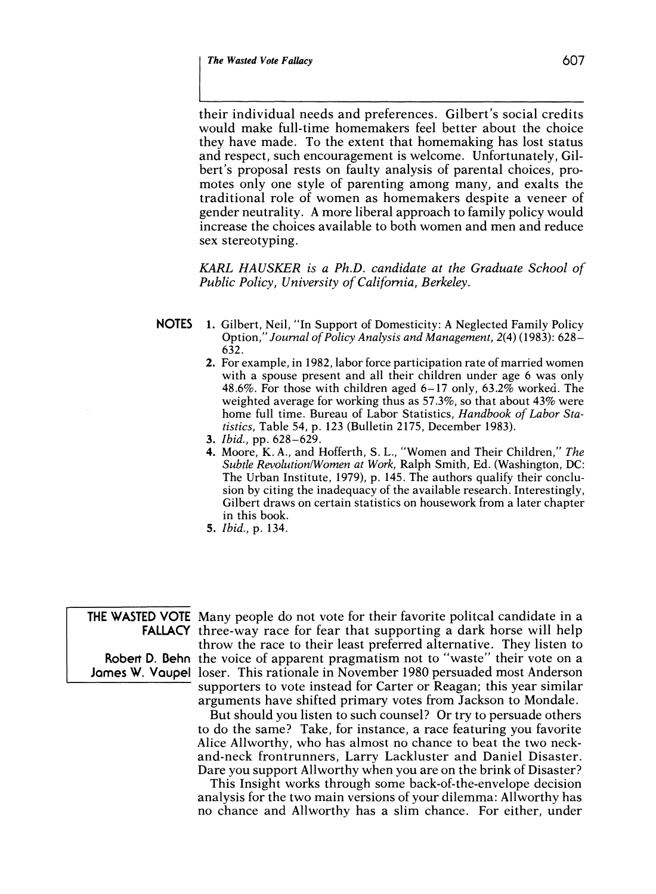**their individual needs and preferences. Gilbert's social credits would make full-time homemakers feel better about the choice they have made. To the extent that homemaking has lost status and respect, such encouragement is welcome. Unfortunately, Gilbert's proposal rests on faulty analysis of parental choices, promotes only one style of parenting among many, and exalts the traditional role of women as homemakers despite a veneer of gender neutrality. A more liberal approach to family policy would increase the choices available to both women and men and reduce sex stereotyping.** 

**KARL HAUSKER is a Ph.D. candidate at the Graduate School of Public Policy, University of California, Berkeley.** 

- **NOTES 1. Gilbert, Neil, "In Support of Domesticity: A Neglected Family Policy Option," Journal of Policy Analysis and Management, 2(4) (1983): 628- 632.** 
	- **2. For example, in 1982, labor force participation rate of married women with a spouse present and all their children under age 6 was only 48.6%. For those with children aged 6-17 only, 63.2% worked. The weighted average for working thus as 57.3%, so that about 43% were home full time. Bureau of Labor Statistics, Handbook of Labor Statistics, Table 54, p. 123 (Bulletin 2175, December 1983).**
	- **3. Ibid., pp. 628-629.**
	- **4. Moore, K. A., and Hofferth, S. L., "Women and Their Children," The Subtle Revolution/Women at Work, Ralph Smith, Ed. (Washington, DC: The Urban Institute, 1979), p. 145. The authors qualify their conclusion by citing the inadequacy of the available research. Interestingly, Gilbert draws on certain statistics on housework from a later chapter in this book.**
	- **5. Ibid., p. 134.**

**THE WASTED VOTE Many people do not vote for their favorite politcal candidate in a FALLACY three-way race for fear that supporting a dark horse will help throw the race to their least preferred alternative. They listen to Robert D. Behn the voice of apparent pragmatism not to "waste" their vote on a James W. Vaupel loser. This rationale in November 1980 persuaded most Anderson supporters to vote instead for Carter or Reagan; this year similar arguments have shifted primary votes from Jackson to Mondale.** 

> **But should you listen to such counsel? Or try to persuade others to do the same? Take, for instance, a race featuring you favorite Alice Allworthy, who has almost no chance to beat the two neckand-neck frontrunners, Larry Lackluster and Daniel Disaster. Dare you support Allworthy when you are on the brink of Disaster?**

> **This Insight works through some back-of-the-envelope decision analysis for the two main versions of your dilemma: Allworthy has no chance and Allworthy has a slim chance. For either, under**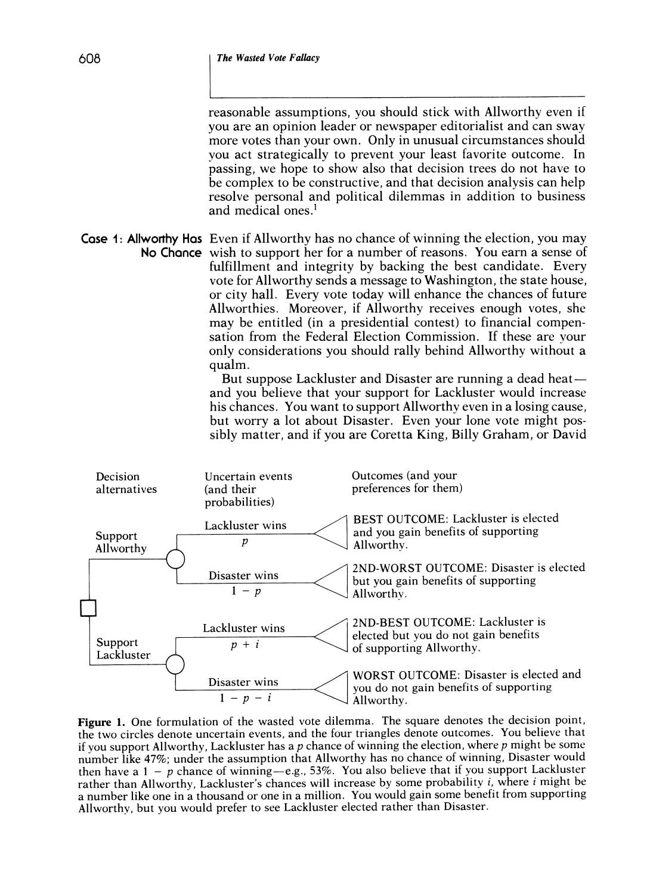**reasonable assumptions, you should stick with Allworthy even if you are an opinion leader or newspaper editorialist and can sway more votes than your own. Only in unusual circumstances should you act strategically to prevent your least favorite outcome. In passing, we hope to show also that decision trees do not have to be complex to be constructive, and that decision analysis can help resolve personal and political dilemmas in addition to business and medical ones.1** 

**Case 1: Allworthy Has Even if Allworthy has no chance of winning the election, you may No Chance wish to support her for a number of reasons. You earn a sense of fulfillment and integrity by backing the best candidate. Every vote for Allworthy sends a message to Washington, the state house, or city hall. Every vote today will enhance the chances of future Allworthies. Moreover, if Allworthy receives enough votes, she may be entitled (in a presidential contest) to financial compensation from the Federal Election Commission. If these are your only considerations you should rally behind Allworthy without a qualm.** 

**But suppose Lackluster and Disaster are running a dead heatand you believe that your support for Lackluster would increase his chances. You want to support Allworthy even in a losing cause, but worry a lot about Disaster. Even your lone vote might possibly matter, and if you are Coretta King, Billy Graham, or David** 



**Figure 1. One formulation of the wasted vote dilemma. The square denotes the decision point, the two circles denote uncertain events, and the four triangles denote outcomes. You believe that if you support Allworthy, Lackluster has a p chance of winning the election, where p might be some number like 47%; under the assumption that Allworthy has no chance of winning, Disaster would**  then have a  $1 - p$  chance of winning-e.g., 53%. You also believe that if you support Lackluster **rather than Allworthy, Lackluster's chances will increase by some probability i, where i might be a number like one in a thousand or one in a million. You would gain some benefit from supporting Allworthy, but you would prefer to see Lackluster elected rather than Disaster.**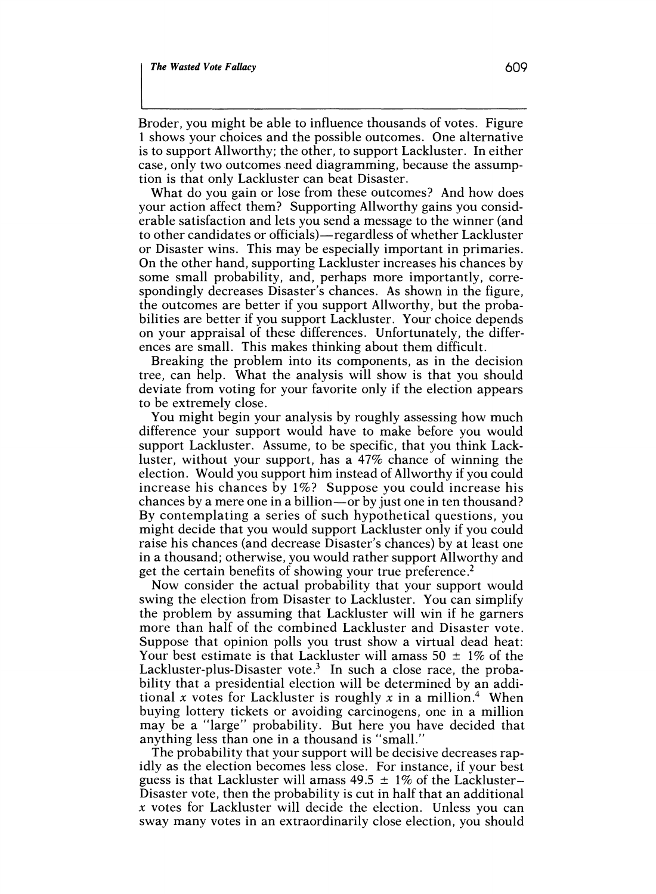**Broder, you might be able to influence thousands of votes. Figure 1 shows your choices and the possible outcomes. One alternative is to support Allworthy; the other, to support Lackluster. In either case, only two outcomes need diagramming, because the assumption is that only Lackluster can beat Disaster.** 

**What do you gain or lose from these outcomes? And how does your action affect them? Supporting Allworthy gains you considerable satisfaction and lets you send a message to the winner (and to other candidates or officials)-regardless of whether Lackluster or Disaster wins. This may be especially important in primaries. On the other hand, supporting Lackluster increases his chances by some small probability, and, perhaps more importantly, correspondingly decreases Disaster's chances. As shown in the figure, the outcomes are better if you support Allworthy, but the probabilities are better if you support Lackluster. Your choice depends on your appraisal of these differences. Unfortunately, the differences are small. This makes thinking about them difficult.** 

**Breaking the problem into its components, as in the decision tree, can help. What the analysis will show is that you should deviate from voting for your favorite only if the election appears to be extremely close.** 

**You might begin your analysis by roughly assessing how much difference your support would have to make before you would support Lackluster. Assume, to be specific, that you think Lackluster, without your support, has a 47% chance of winning the election. Would you support him instead of Allworthy if you could increase his chances by 1%? Suppose you could increase his chances by a mere one in a billion-or by just one in ten thousand? By contemplating a series of such hypothetical questions, you might decide that you would support Lackluster only if you could raise his chances (and decrease Disaster's chances) by at least one in a thousand; otherwise, you would rather support Allworthy and get the certain benefits of showing your true preference.2** 

**Now consider the actual probability that your support would swing the election from Disaster to Lackluster. You can simplify the problem by assuming that Lackluster will win if he garners more than half of the combined Lackluster and Disaster vote. Suppose that opinion polls you trust show a virtual dead heat:**  Your best estimate is that Lackluster will amass  $50 \pm 1\%$  of the **Lackluster-plus-Disaster vote.3 In such a close race, the probability that a presidential election will be determined by an additional x votes for Lackluster is roughly x in a million.**<sup>4</sup> When **buying lottery tickets or avoiding carcinogens, one in a million may be a "large" probability. But here you have decided that anything less than one in a thousand is "small."** 

**The probability that your support will be decisive decreases rapidly as the election becomes less close. For instance, if your best**  guess is that Lackluster will amass  $49.5 \pm 1\%$  of the Lackluster-**Disaster vote, then the probability is cut in half that an additional x votes for Lackluster will decide the election. Unless you can sway many votes in an extraordinarily close election, you should**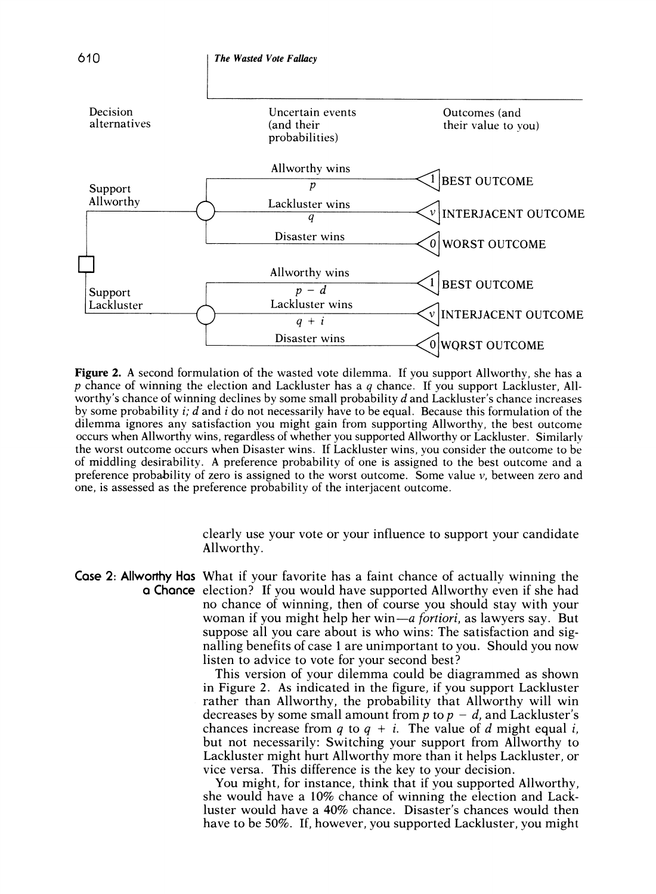

**Figure 2. A second formulation of the wasted vote dilemma. If you support Allworthy, she has a p chance of winning the election and Lackluster has a q chance. If you support Lackluster, Allworthy's chance of winning declines by some small probability d and Lackluster's chance increases by some probability i; d and i do not necessarily have to be equal. Because this formulation of the dilemma ignores any satisfaction you might gain from supporting Allworthy, the best outcome occurs when Allworthy wins, regardless of whether you supported Allworthy or Lackluster. Similarly the worst outcome occurs when Disaster wins. If Lackluster wins, you consider the outcome to be of middling desirability. A preference probability of one is assigned to the best outcome and a preference probability of zero is assigned to the worst outcome. Some value v, between zero and one, is assessed as the preference probability of the interjacent outcome.** 

**clearly use your vote or your influence to support your candidate Allworthy.** 

**Case 2: Allworthy Has What if your favorite has a faint chance of actually winning the a Chance election? If you would have supported Allworthy even if she had no chance of winning, then of course you should stay with your woman if you might help her win-a fortiori, as lawyers say. But suppose all you care about is who wins: The satisfaction and signalling benefits of case 1 are unimportant to you. Should you now listen to advice to vote for your second best?** 

> **This version of your dilemma could be diagrammed as shown in Figure 2. As indicated in the figure, if you support Lackluster rather than Allworthy, the probability that Allworthy will win**  decreases by some small amount from  $p$  to  $p - d$ , and Lackluster's chances increase from  $q$  to  $q + i$ . The value of  $d$  might equal  $i$ , **but not necessarily: Switching your support from Allworthy to Lackluster might hurt Allworthy more than it helps Lackluster, or vice versa. This difference is the key to your decision.**

> **You might, for instance, think that if you supported Allworthy, she would have a 10% chance of winning the election and Lackluster would have a 40% chance. Disaster's chances would then have to be 50%. If, however, you supported Lackluster, you might**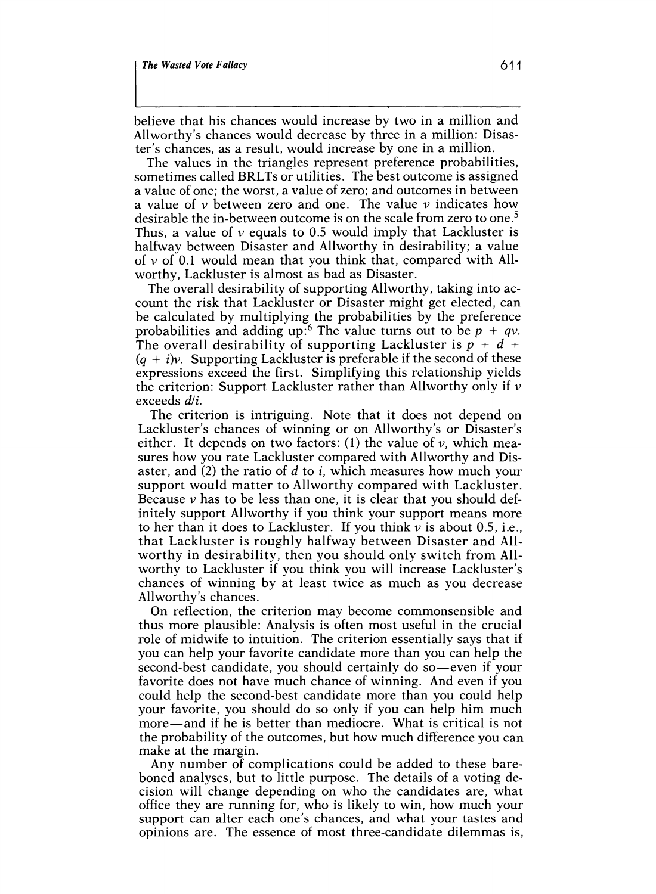**believe that his chances would increase by two in a million and Allworthy's chances would decrease by three in a million: Disaster's chances, as a result, would increase by one in a million.** 

**The values in the triangles represent preference probabilities, sometimes called BRLTs or utilities. The best outcome is assigned a value of one; the worst, a value of zero; and outcomes in between a value of v between zero and one. The value v indicates how desirable the in-between outcome is on the scale from zero to one.5 Thus, a value of v equals to 0.5 would imply that Lackluster is halfway between Disaster and Allworthy in desirability; a value of v of 0.1 would mean that you think that, compared with Allworthy, Lackluster is almost as bad as Disaster.** 

**The overall desirability of supporting Allworthy, taking into account the risk that Lackluster or Disaster might get elected, can be calculated by multiplying the probabilities by the preference**  probabilities and adding up:<sup>6</sup> The value turns out to be  $p + qv$ . The overall desirability of supporting Lackluster is  $p + d +$ **(q + i)v. Supporting Lackluster is preferable if the second of these expressions exceed the first. Simplifying this relationship yields the criterion: Support Lackluster rather than Allworthy only if v**  exceeds *d/i*.

**The criterion is intriguing. Note that it does not depend on Lackluster's chances of winning or on Allworthy's or Disaster's**  either. It depends on two factors: (1) the value of  $v$ , which mea**sures how you rate Lackluster compared with Allworthy and Disaster, and (2) the ratio of d to i, which measures how much your support would matter to Allworthy compared with Lackluster. Because v has to be less than one, it is clear that you should definitely support Allworthy if you think your support means more to her than it does to Lackluster. If you think v is about 0.5, i.e., that Lackluster is roughly halfway between Disaster and Allworthy in desirability, then you should only switch from Allworthy to Lackluster if you think you will increase Lackluster's chances of winning by at least twice as much as you decrease Allworthy's chances.** 

**On reflection, the criterion may become commonsensible and thus more plausible: Analysis is often most useful in the crucial role of midwife to intuition. The criterion essentially says that if you can help your favorite candidate more than you can help the second-best candidate, you should certainly do so-even if your favorite does not have much chance of winning. And even if you could help the second-best candidate more than you could help your favorite, you should do so only if you can help him much**  more—and if he is better than mediocre. What is critical is not **the probability of the outcomes, but how much difference you can make at the margin.** 

**Any number of complications could be added to these bareboned analyses, but to little purpose. The details of a voting decision will change depending on who the candidates are, what office they are running for, who is likely to win, how much your support can alter each one's chances, and what your tastes and opinions are. The essence of most three-candidate dilemmas is,**